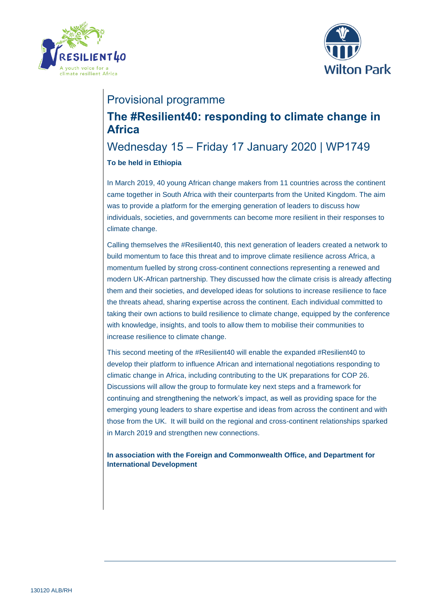



# Provisional programme

# **The #Resilient40: responding to climate change in Africa**

## Wednesday 15 – Friday 17 January 2020 | WP1749 **To be held in Ethiopia**

In March 2019, 40 young African change makers from 11 countries across the continent came together in South Africa with their counterparts from the United Kingdom. The aim was to provide a platform for the emerging generation of leaders to discuss how individuals, societies, and governments can become more resilient in their responses to climate change.

Calling themselves the #Resilient40, this next generation of leaders created a network to build momentum to face this threat and to improve climate resilience across Africa, a momentum fuelled by strong cross-continent connections representing a renewed and modern UK-African partnership. They discussed how the climate crisis is already affecting them and their societies, and developed ideas for solutions to increase resilience to face the threats ahead, sharing expertise across the continent. Each individual committed to taking their own actions to build resilience to climate change, equipped by the conference with knowledge, insights, and tools to allow them to mobilise their communities to increase resilience to climate change.

This second meeting of the #Resilient40 will enable the expanded #Resilient40 to develop their platform to influence African and international negotiations responding to climatic change in Africa, including contributing to the UK preparations for COP 26. Discussions will allow the group to formulate key next steps and a framework for continuing and strengthening the network's impact, as well as providing space for the emerging young leaders to share expertise and ideas from across the continent and with those from the UK. It will build on the regional and cross-continent relationships sparked in March 2019 and strengthen new connections.

**In association with the Foreign and Commonwealth Office, and Department for International Development**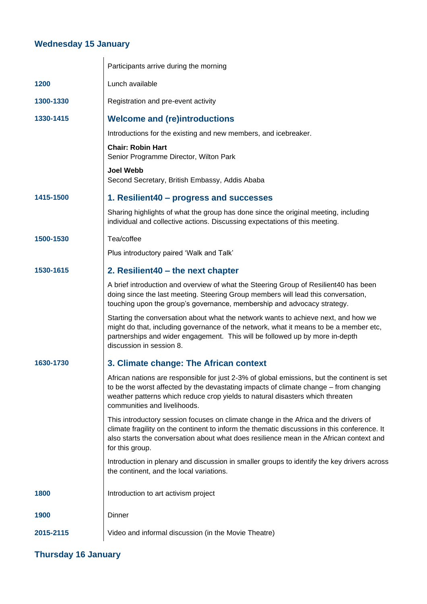#### **Wednesday 15 January**

|           | Participants arrive during the morning                                                                                                                                                                                                                                                                |
|-----------|-------------------------------------------------------------------------------------------------------------------------------------------------------------------------------------------------------------------------------------------------------------------------------------------------------|
| 1200      | Lunch available                                                                                                                                                                                                                                                                                       |
| 1300-1330 | Registration and pre-event activity                                                                                                                                                                                                                                                                   |
| 1330-1415 | <b>Welcome and (re)introductions</b>                                                                                                                                                                                                                                                                  |
|           | Introductions for the existing and new members, and icebreaker.                                                                                                                                                                                                                                       |
|           | <b>Chair: Robin Hart</b><br>Senior Programme Director, Wilton Park                                                                                                                                                                                                                                    |
|           | <b>Joel Webb</b><br>Second Secretary, British Embassy, Addis Ababa                                                                                                                                                                                                                                    |
| 1415-1500 | 1. Resilient40 – progress and successes                                                                                                                                                                                                                                                               |
|           | Sharing highlights of what the group has done since the original meeting, including<br>individual and collective actions. Discussing expectations of this meeting.                                                                                                                                    |
| 1500-1530 | Tea/coffee                                                                                                                                                                                                                                                                                            |
|           | Plus introductory paired 'Walk and Talk'                                                                                                                                                                                                                                                              |
| 1530-1615 | 2. Resilient40 – the next chapter                                                                                                                                                                                                                                                                     |
|           | A brief introduction and overview of what the Steering Group of Resilient40 has been<br>doing since the last meeting. Steering Group members will lead this conversation,<br>touching upon the group's governance, membership and advocacy strategy.                                                  |
|           | Starting the conversation about what the network wants to achieve next, and how we<br>might do that, including governance of the network, what it means to be a member etc,<br>partnerships and wider engagement. This will be followed up by more in-depth<br>discussion in session 8.               |
| 1630-1730 | 3. Climate change: The African context                                                                                                                                                                                                                                                                |
|           | African nations are responsible for just 2-3% of global emissions, but the continent is set<br>to be the worst affected by the devastating impacts of climate change – from changing<br>weather patterns which reduce crop yields to natural disasters which threaten<br>communities and livelihoods. |
|           | This introductory session focuses on climate change in the Africa and the drivers of<br>climate fragility on the continent to inform the thematic discussions in this conference. It<br>also starts the conversation about what does resilience mean in the African context and<br>for this group.    |
|           | Introduction in plenary and discussion in smaller groups to identify the key drivers across<br>the continent, and the local variations.                                                                                                                                                               |
| 1800      | Introduction to art activism project                                                                                                                                                                                                                                                                  |
| 1900      | Dinner                                                                                                                                                                                                                                                                                                |
| 2015-2115 | Video and informal discussion (in the Movie Theatre)                                                                                                                                                                                                                                                  |

## **Thursday 16 January**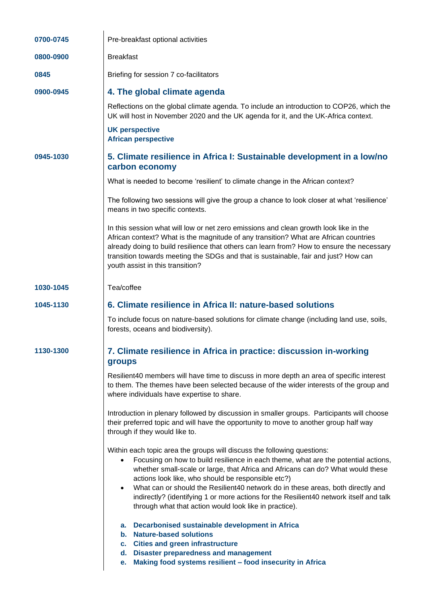| 0700-0745 | Pre-breakfast optional activities                                                                                                                                                                                                                                                                                                                                                                                                                                                                                                                                       |
|-----------|-------------------------------------------------------------------------------------------------------------------------------------------------------------------------------------------------------------------------------------------------------------------------------------------------------------------------------------------------------------------------------------------------------------------------------------------------------------------------------------------------------------------------------------------------------------------------|
| 0800-0900 | <b>Breakfast</b>                                                                                                                                                                                                                                                                                                                                                                                                                                                                                                                                                        |
| 0845      | Briefing for session 7 co-facilitators                                                                                                                                                                                                                                                                                                                                                                                                                                                                                                                                  |
| 0900-0945 | 4. The global climate agenda                                                                                                                                                                                                                                                                                                                                                                                                                                                                                                                                            |
|           | Reflections on the global climate agenda. To include an introduction to COP26, which the<br>UK will host in November 2020 and the UK agenda for it, and the UK-Africa context.                                                                                                                                                                                                                                                                                                                                                                                          |
|           | <b>UK perspective</b><br><b>African perspective</b>                                                                                                                                                                                                                                                                                                                                                                                                                                                                                                                     |
| 0945-1030 | 5. Climate resilience in Africa I: Sustainable development in a low/no<br>carbon economy                                                                                                                                                                                                                                                                                                                                                                                                                                                                                |
|           | What is needed to become 'resilient' to climate change in the African context?                                                                                                                                                                                                                                                                                                                                                                                                                                                                                          |
|           | The following two sessions will give the group a chance to look closer at what 'resilience'<br>means in two specific contexts.                                                                                                                                                                                                                                                                                                                                                                                                                                          |
|           | In this session what will low or net zero emissions and clean growth look like in the<br>African context? What is the magnitude of any transition? What are African countries<br>already doing to build resilience that others can learn from? How to ensure the necessary<br>transition towards meeting the SDGs and that is sustainable, fair and just? How can<br>youth assist in this transition?                                                                                                                                                                   |
| 1030-1045 | Tea/coffee                                                                                                                                                                                                                                                                                                                                                                                                                                                                                                                                                              |
| 1045-1130 | 6. Climate resilience in Africa II: nature-based solutions                                                                                                                                                                                                                                                                                                                                                                                                                                                                                                              |
|           | To include focus on nature-based solutions for climate change (including land use, soils,<br>forests, oceans and biodiversity).                                                                                                                                                                                                                                                                                                                                                                                                                                         |
| 1130-1300 | 7. Climate resilience in Africa in practice: discussion in-working<br>groups                                                                                                                                                                                                                                                                                                                                                                                                                                                                                            |
|           | Resilient40 members will have time to discuss in more depth an area of specific interest<br>to them. The themes have been selected because of the wider interests of the group and<br>where individuals have expertise to share.                                                                                                                                                                                                                                                                                                                                        |
|           | Introduction in plenary followed by discussion in smaller groups. Participants will choose<br>their preferred topic and will have the opportunity to move to another group half way<br>through if they would like to.                                                                                                                                                                                                                                                                                                                                                   |
|           | Within each topic area the groups will discuss the following questions:<br>Focusing on how to build resilience in each theme, what are the potential actions,<br>$\bullet$<br>whether small-scale or large, that Africa and Africans can do? What would these<br>actions look like, who should be responsible etc?)<br>What can or should the Resilient40 network do in these areas, both directly and<br>$\bullet$<br>indirectly? (identifying 1 or more actions for the Resilient40 network itself and talk<br>through what that action would look like in practice). |
|           | Decarbonised sustainable development in Africa<br>а.<br>b. Nature-based solutions<br>c. Cities and green infrastructure<br>d. Disaster preparedness and management<br>Making food systems resilient - food insecurity in Africa<br>е.                                                                                                                                                                                                                                                                                                                                   |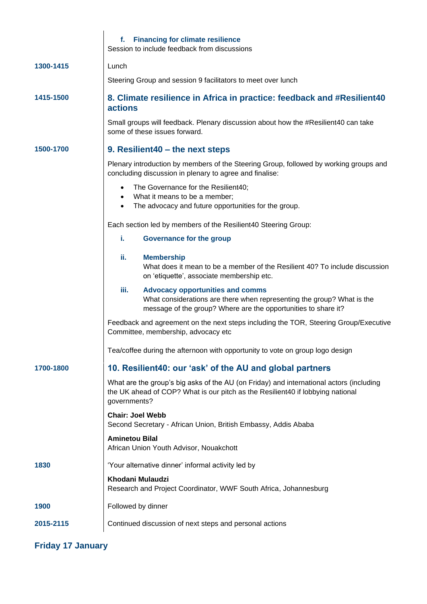|           | <b>Financing for climate resilience</b><br>f.<br>Session to include feedback from discussions                                                                                               |
|-----------|---------------------------------------------------------------------------------------------------------------------------------------------------------------------------------------------|
| 1300-1415 | Lunch                                                                                                                                                                                       |
|           | Steering Group and session 9 facilitators to meet over lunch                                                                                                                                |
| 1415-1500 | 8. Climate resilience in Africa in practice: feedback and #Resilient40<br><b>actions</b>                                                                                                    |
|           | Small groups will feedback. Plenary discussion about how the #Resilient40 can take<br>some of these issues forward.                                                                         |
| 1500-1700 | 9. Resilient40 – the next steps                                                                                                                                                             |
|           | Plenary introduction by members of the Steering Group, followed by working groups and<br>concluding discussion in plenary to agree and finalise:                                            |
|           | The Governance for the Resilient40;<br>What it means to be a member;<br>$\bullet$<br>The advocacy and future opportunities for the group.<br>$\bullet$                                      |
|           | Each section led by members of the Resilient40 Steering Group:                                                                                                                              |
|           | i.<br><b>Governance for the group</b>                                                                                                                                                       |
|           | ii.<br><b>Membership</b><br>What does it mean to be a member of the Resilient 40? To include discussion<br>on 'etiquette', associate membership etc.                                        |
|           | iii.<br><b>Advocacy opportunities and comms</b><br>What considerations are there when representing the group? What is the<br>message of the group? Where are the opportunities to share it? |
|           | Feedback and agreement on the next steps including the TOR, Steering Group/Executive<br>Committee, membership, advocacy etc                                                                 |
|           | Tea/coffee during the afternoon with opportunity to vote on group logo design                                                                                                               |
| 1700-1800 | 10. Resilient40: our 'ask' of the AU and global partners                                                                                                                                    |
|           | What are the group's big asks of the AU (on Friday) and international actors (including<br>the UK ahead of COP? What is our pitch as the Resilient40 if lobbying national<br>governments?   |
|           | <b>Chair: Joel Webb</b><br>Second Secretary - African Union, British Embassy, Addis Ababa                                                                                                   |
|           | <b>Aminetou Bilal</b><br>African Union Youth Advisor, Nouakchott                                                                                                                            |
| 1830      | 'Your alternative dinner' informal activity led by                                                                                                                                          |
|           | Khodani Mulaudzi<br>Research and Project Coordinator, WWF South Africa, Johannesburg                                                                                                        |
| 1900      | Followed by dinner                                                                                                                                                                          |
| 2015-2115 | Continued discussion of next steps and personal actions                                                                                                                                     |

#### **Friday 17 January**